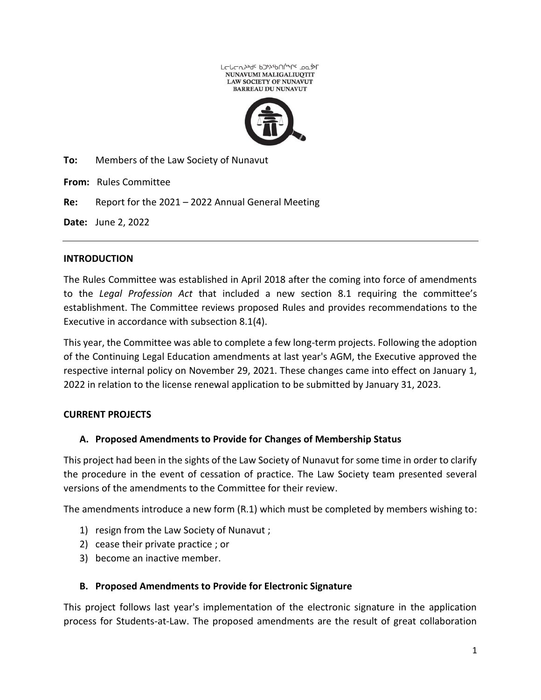

**To:** Members of the Law Society of Nunavut

**From:** Rules Committee

**Re:** Report for the 2021 – 2022 Annual General Meeting

**Date:** June 2, 2022

#### **INTRODUCTION**

The Rules Committee was established in April 2018 after the coming into force of amendments to the *Legal Profession Act* that included a new section 8.1 requiring the committee's establishment. The Committee reviews proposed Rules and provides recommendations to the Executive in accordance with subsection 8.1(4).

This year, the Committee was able to complete a few long-term projects. Following the adoption of the Continuing Legal Education amendments at last year's AGM, the Executive approved the respective internal policy on November 29, 2021. These changes came into effect on January 1, 2022 in relation to the license renewal application to be submitted by January 31, 2023.

## **CURRENT PROJECTS**

## **A. Proposed Amendments to Provide for Changes of Membership Status**

This project had been in the sights of the Law Society of Nunavut for some time in order to clarify the procedure in the event of cessation of practice. The Law Society team presented several versions of the amendments to the Committee for their review.

The amendments introduce a new form (R.1) which must be completed by members wishing to:

- 1) resign from the Law Society of Nunavut ;
- 2) cease their private practice ; or
- 3) become an inactive member.

#### **B. Proposed Amendments to Provide for Electronic Signature**

This project follows last year's implementation of the electronic signature in the application process for Students-at-Law. The proposed amendments are the result of great collaboration